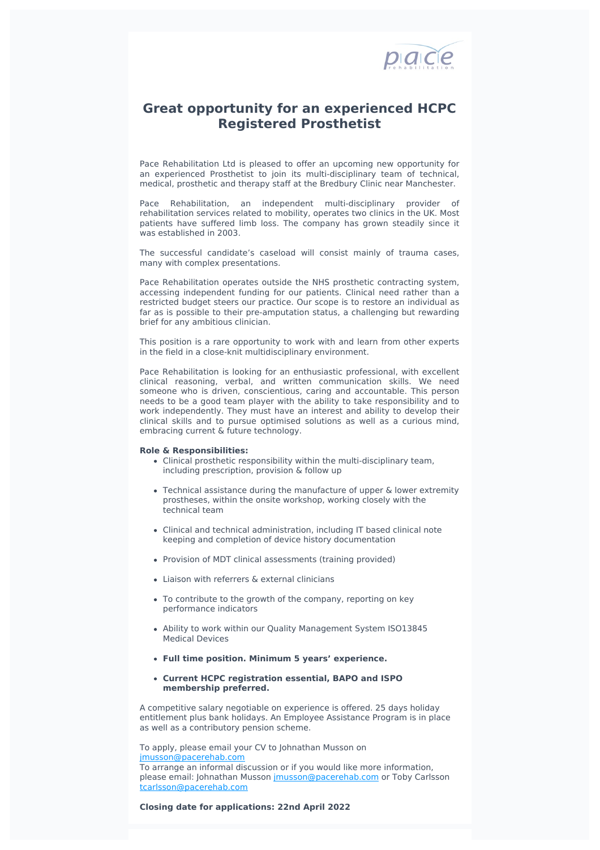

## **Great opportunity for an experienced HCPC Registered Prosthetist**

Pace Rehabilitation Ltd is pleased to offer an upcoming new opportunity for an experienced Prosthetist to join its multi-disciplinary team of technical, medical, prosthetic and therapy staff at the Bredbury Clinic near Manchester.

Pace Rehabilitation, an independent multi-disciplinary provider of rehabilitation services related to mobility, operates two clinics in the UK. Most patients have suffered limb loss. The company has grown steadily since it was established in 2003.

The successful candidate's caseload will consist mainly of trauma cases, many with complex presentations.

Pace Rehabilitation operates outside the NHS prosthetic contracting system, accessing independent funding for our patients. Clinical need rather than a restricted budget steers our practice. Our scope is to restore an individual as far as is possible to their pre-amputation status, a challenging but rewarding brief for any ambitious clinician.

This position is a rare opportunity to work with and learn from other experts in the field in a close-knit multidisciplinary environment.

Pace Rehabilitation is looking for an enthusiastic professional, with excellent clinical reasoning, verbal, and written communication skills. We need someone who is driven, conscientious, caring and accountable. This person needs to be a good team player with the ability to take responsibility and to work independently. They must have an interest and ability to develop their clinical skills and to pursue optimised solutions as well as a curious mind, embracing current & future technology.

## **Role & Responsibilities:**

- Clinical prosthetic responsibility within the multi-disciplinary team, including prescription, provision & follow up
- Technical assistance during the manufacture of upper & lower extremity prostheses, within the onsite workshop, working closely with the technical team
- Clinical and technical administration, including IT based clinical note keeping and completion of device history documentation
- Provision of MDT clinical assessments (training provided)
- Liaison with referrers & external clinicians
- To contribute to the growth of the company, reporting on key performance indicators
- Ability to work within our Quality Management System ISO13845 Medical Devices
- **Full time position. Minimum 5 years' experience.**
- **Current HCPC registration essential, BAPO and ISPO membership preferred.**

A competitive salary negotiable on experience is offered. 25 days holiday entitlement plus bank holidays. An Employee Assistance Program is in place as well as a contributory pension scheme.

To apply, please email your CV to Johnathan Musson on [jmusson@pacerehab.com](mailto:jmusson@pacerehab.com?subject=Job%20Advert-%20Pace%20Rehabilitation%20Ltd%20-%20Prosthetist)

To arrange an informal discussion or if you would like more information, please email: Johnathan Musson [jmusson@pacerehab.com](mailto:jmusson@pacerehab.com) or Toby Carlsson [tcarlsson@pacerehab.com](mailto:tcarlsson@pacerehab.com)

## **Closing date for applications: 22nd April 2022**